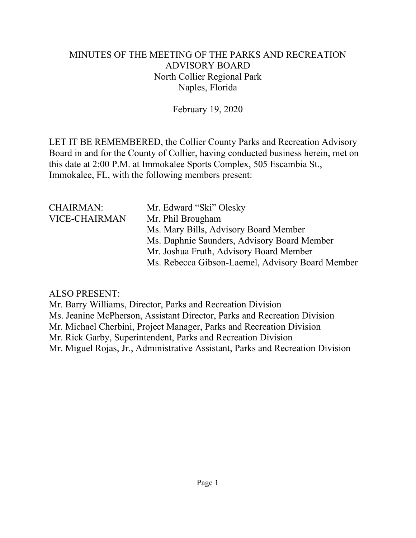# MINUTES OF THE MEETING OF THE PARKS AND RECREATION ADVISORY BOARD North Collier Regional Park Naples, Florida

February 19, 2020

LET IT BE REMEMBERED, the Collier County Parks and Recreation Advisory Board in and for the County of Collier, having conducted business herein, met on this date at 2:00 P.M. at Immokalee Sports Complex, 505 Escambia St., Immokalee, FL, with the following members present:

| <b>CHAIRMAN:</b>     | Mr. Edward "Ski" Olesky                          |
|----------------------|--------------------------------------------------|
| <b>VICE-CHAIRMAN</b> | Mr. Phil Brougham                                |
|                      | Ms. Mary Bills, Advisory Board Member            |
|                      | Ms. Daphnie Saunders, Advisory Board Member      |
|                      | Mr. Joshua Fruth, Advisory Board Member          |
|                      | Ms. Rebecca Gibson-Laemel, Advisory Board Member |

# ALSO PRESENT:

Mr. Barry Williams, Director, Parks and Recreation Division Ms. Jeanine McPherson, Assistant Director, Parks and Recreation Division Mr. Michael Cherbini, Project Manager, Parks and Recreation Division Mr. Rick Garby, Superintendent, Parks and Recreation Division Mr. Miguel Rojas, Jr., Administrative Assistant, Parks and Recreation Division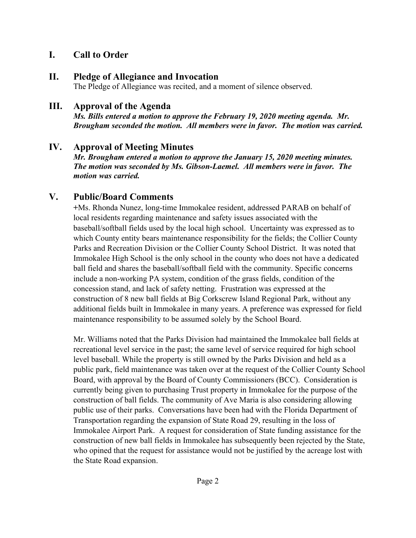### **I. Call to Order**

### **II. Pledge of Allegiance and Invocation**

The Pledge of Allegiance was recited, and a moment of silence observed.

### **III. Approval of the Agenda**

*Ms. Bills entered a motion to approve the February 19, 2020 meeting agenda. Mr. Brougham seconded the motion. All members were in favor. The motion was carried.* 

### **IV. Approval of Meeting Minutes**

*Mr. Brougham entered a motion to approve the January 15, 2020 meeting minutes. The motion was seconded by Ms. Gibson-Laemel. All members were in favor. The motion was carried.* 

# **V. Public/Board Comments**

**+**Ms. Rhonda Nunez, long-time Immokalee resident, addressed PARAB on behalf of local residents regarding maintenance and safety issues associated with the baseball/softball fields used by the local high school. Uncertainty was expressed as to which County entity bears maintenance responsibility for the fields; the Collier County Parks and Recreation Division or the Collier County School District. It was noted that Immokalee High School is the only school in the county who does not have a dedicated ball field and shares the baseball/softball field with the community. Specific concerns include a non-working PA system, condition of the grass fields, condition of the concession stand, and lack of safety netting. Frustration was expressed at the construction of 8 new ball fields at Big Corkscrew Island Regional Park, without any additional fields built in Immokalee in many years. A preference was expressed for field maintenance responsibility to be assumed solely by the School Board.

Mr. Williams noted that the Parks Division had maintained the Immokalee ball fields at recreational level service in the past; the same level of service required for high school level baseball. While the property is still owned by the Parks Division and held as a public park, field maintenance was taken over at the request of the Collier County School Board, with approval by the Board of County Commissioners (BCC). Consideration is currently being given to purchasing Trust property in Immokalee for the purpose of the construction of ball fields. The community of Ave Maria is also considering allowing public use of their parks. Conversations have been had with the Florida Department of Transportation regarding the expansion of State Road 29, resulting in the loss of Immokalee Airport Park. A request for consideration of State funding assistance for the construction of new ball fields in Immokalee has subsequently been rejected by the State, who opined that the request for assistance would not be justified by the acreage lost with the State Road expansion.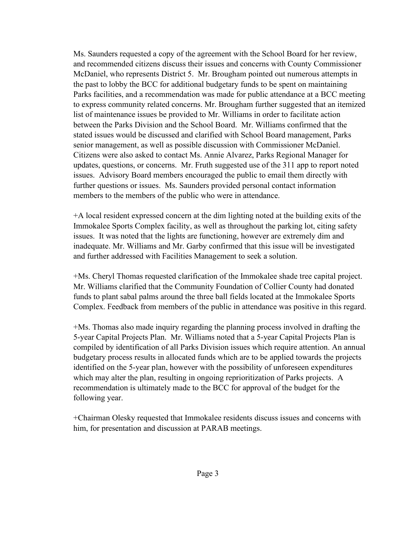Ms. Saunders requested a copy of the agreement with the School Board for her review, and recommended citizens discuss their issues and concerns with County Commissioner McDaniel, who represents District 5. Mr. Brougham pointed out numerous attempts in the past to lobby the BCC for additional budgetary funds to be spent on maintaining Parks facilities, and a recommendation was made for public attendance at a BCC meeting to express community related concerns. Mr. Brougham further suggested that an itemized list of maintenance issues be provided to Mr. Williams in order to facilitate action between the Parks Division and the School Board. Mr. Williams confirmed that the stated issues would be discussed and clarified with School Board management, Parks senior management, as well as possible discussion with Commissioner McDaniel. Citizens were also asked to contact Ms. Annie Alvarez, Parks Regional Manager for updates, questions, or concerns. Mr. Fruth suggested use of the 311 app to report noted issues. Advisory Board members encouraged the public to email them directly with further questions or issues. Ms. Saunders provided personal contact information members to the members of the public who were in attendance.

+A local resident expressed concern at the dim lighting noted at the building exits of the Immokalee Sports Complex facility, as well as throughout the parking lot, citing safety issues. It was noted that the lights are functioning, however are extremely dim and inadequate. Mr. Williams and Mr. Garby confirmed that this issue will be investigated and further addressed with Facilities Management to seek a solution.

+Ms. Cheryl Thomas requested clarification of the Immokalee shade tree capital project. Mr. Williams clarified that the Community Foundation of Collier County had donated funds to plant sabal palms around the three ball fields located at the Immokalee Sports Complex. Feedback from members of the public in attendance was positive in this regard.

+Ms. Thomas also made inquiry regarding the planning process involved in drafting the 5-year Capital Projects Plan. Mr. Williams noted that a 5-year Capital Projects Plan is compiled by identification of all Parks Division issues which require attention. An annual budgetary process results in allocated funds which are to be applied towards the projects identified on the 5-year plan, however with the possibility of unforeseen expenditures which may alter the plan, resulting in ongoing reprioritization of Parks projects. A recommendation is ultimately made to the BCC for approval of the budget for the following year.

+Chairman Olesky requested that Immokalee residents discuss issues and concerns with him, for presentation and discussion at PARAB meetings.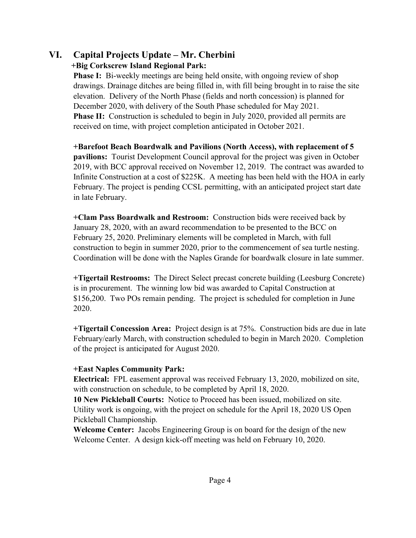#### **VI. Capital Projects Update – Mr. Cherbini +Big Corkscrew Island Regional Park:**

**Phase I:** Bi-weekly meetings are being held onsite, with ongoing review of shop drawings. Drainage ditches are being filled in, with fill being brought in to raise the site elevation. Delivery of the North Phase (fields and north concession) is planned for December 2020, with delivery of the South Phase scheduled for May 2021. **Phase II:** Construction is scheduled to begin in July 2020, provided all permits are received on time, with project completion anticipated in October 2021.

**+Barefoot Beach Boardwalk and Pavilions (North Access), with replacement of 5 pavilions:** Tourist Development Council approval for the project was given in October 2019, with BCC approval received on November 12, 2019. The contract was awarded to Infinite Construction at a cost of \$225K. A meeting has been held with the HOA in early February. The project is pending CCSL permitting, with an anticipated project start date in late February.

**+Clam Pass Boardwalk and Restroom:** Construction bids were received back by January 28, 2020, with an award recommendation to be presented to the BCC on February 25, 2020. Preliminary elements will be completed in March, with full construction to begin in summer 2020, prior to the commencement of sea turtle nesting. Coordination will be done with the Naples Grande for boardwalk closure in late summer.

**+Tigertail Restrooms:** The Direct Select precast concrete building (Leesburg Concrete) is in procurement. The winning low bid was awarded to Capital Construction at \$156,200. Two POs remain pending. The project is scheduled for completion in June 2020.

**+Tigertail Concession Area:** Project design is at 75%. Construction bids are due in late February/early March, with construction scheduled to begin in March 2020. Completion of the project is anticipated for August 2020.

#### **+East Naples Community Park:**

**Electrical:** FPL easement approval was received February 13, 2020, mobilized on site, with construction on schedule, to be completed by April 18, 2020.

**10 New Pickleball Courts:** Notice to Proceed has been issued, mobilized on site. Utility work is ongoing, with the project on schedule for the April 18, 2020 US Open Pickleball Championship.

**Welcome Center:** Jacobs Engineering Group is on board for the design of the new Welcome Center. A design kick-off meeting was held on February 10, 2020.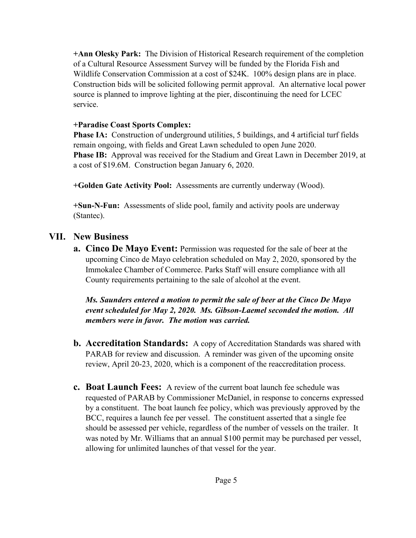**+Ann Olesky Park:** The Division of Historical Research requirement of the completion of a Cultural Resource Assessment Survey will be funded by the Florida Fish and Wildlife Conservation Commission at a cost of \$24K. 100% design plans are in place. Construction bids will be solicited following permit approval. An alternative local power source is planned to improve lighting at the pier, discontinuing the need for LCEC service.

#### **+Paradise Coast Sports Complex:**

**Phase IA:** Construction of underground utilities, 5 buildings, and 4 artificial turf fields remain ongoing, with fields and Great Lawn scheduled to open June 2020. **Phase IB:** Approval was received for the Stadium and Great Lawn in December 2019, at a cost of \$19.6M. Construction began January 6, 2020.

**+Golden Gate Activity Pool:** Assessments are currently underway (Wood).

**+Sun-N-Fun:** Assessments of slide pool, family and activity pools are underway (Stantec).

# **VII. New Business**

**a. Cinco De Mayo Event:** Permission was requested for the sale of beer at the upcoming Cinco de Mayo celebration scheduled on May 2, 2020, sponsored by the Immokalee Chamber of Commerce. Parks Staff will ensure compliance with all County requirements pertaining to the sale of alcohol at the event.

*Ms. Saunders entered a motion to permit the sale of beer at the Cinco De Mayo event scheduled for May 2, 2020. Ms. Gibson-Laemel seconded the motion. All members were in favor. The motion was carried.* 

- **b. Accreditation Standards:** A copy of Accreditation Standards was shared with PARAB for review and discussion. A reminder was given of the upcoming onsite review, April 20-23, 2020, which is a component of the reaccreditation process.
- **c. Boat Launch Fees:** A review of the current boat launch fee schedule was requested of PARAB by Commissioner McDaniel, in response to concerns expressed by a constituent. The boat launch fee policy, which was previously approved by the BCC, requires a launch fee per vessel. The constituent asserted that a single fee should be assessed per vehicle, regardless of the number of vessels on the trailer. It was noted by Mr. Williams that an annual \$100 permit may be purchased per vessel, allowing for unlimited launches of that vessel for the year.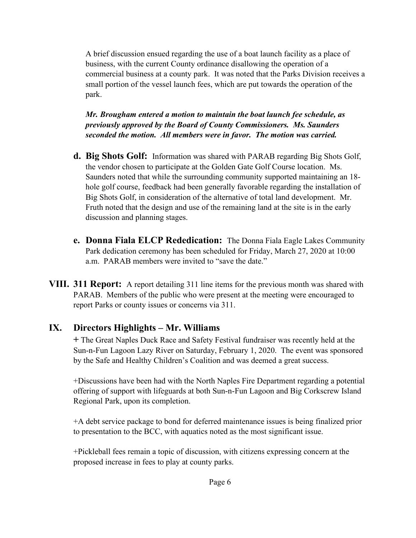A brief discussion ensued regarding the use of a boat launch facility as a place of business, with the current County ordinance disallowing the operation of a commercial business at a county park. It was noted that the Parks Division receives a small portion of the vessel launch fees, which are put towards the operation of the park.

*Mr. Brougham entered a motion to maintain the boat launch fee schedule, as previously approved by the Board of County Commissioners. Ms. Saunders seconded the motion. All members were in favor. The motion was carried.* 

- **d. Big Shots Golf:** Information was shared with PARAB regarding Big Shots Golf, the vendor chosen to participate at the Golden Gate Golf Course location. Ms. Saunders noted that while the surrounding community supported maintaining an 18 hole golf course, feedback had been generally favorable regarding the installation of Big Shots Golf, in consideration of the alternative of total land development. Mr. Fruth noted that the design and use of the remaining land at the site is in the early discussion and planning stages.
- **e. Donna Fiala ELCP Rededication:** The Donna Fiala Eagle Lakes Community Park dedication ceremony has been scheduled for Friday, March 27, 2020 at 10:00 a.m. PARAB members were invited to "save the date."
- **VIII. 311 Report:** A report detailing 311 line items for the previous month was shared with PARAB. Members of the public who were present at the meeting were encouraged to report Parks or county issues or concerns via 311.

# **IX. Directors Highlights – Mr. Williams**

**+** The Great Naples Duck Race and Safety Festival fundraiser was recently held at the Sun-n-Fun Lagoon Lazy River on Saturday, February 1, 2020. The event was sponsored by the Safe and Healthy Children's Coalition and was deemed a great success.

+Discussions have been had with the North Naples Fire Department regarding a potential offering of support with lifeguards at both Sun-n-Fun Lagoon and Big Corkscrew Island Regional Park, upon its completion.

+A debt service package to bond for deferred maintenance issues is being finalized prior to presentation to the BCC, with aquatics noted as the most significant issue.

+Pickleball fees remain a topic of discussion, with citizens expressing concern at the proposed increase in fees to play at county parks.